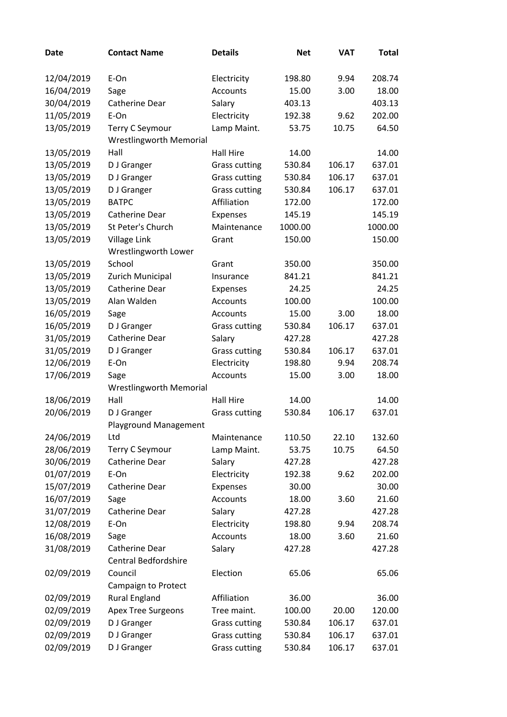| <b>Date</b> | <b>Contact Name</b>                                      | <b>Details</b>       | <b>Net</b> | <b>VAT</b> | <b>Total</b> |
|-------------|----------------------------------------------------------|----------------------|------------|------------|--------------|
|             | E-On                                                     |                      | 198.80     | 9.94       | 208.74       |
| 12/04/2019  |                                                          | Electricity          |            |            |              |
| 16/04/2019  | Sage                                                     | <b>Accounts</b>      | 15.00      | 3.00       | 18.00        |
| 30/04/2019  | Catherine Dear                                           | Salary               | 403.13     |            | 403.13       |
| 11/05/2019  | E-On                                                     | Electricity          | 192.38     | 9.62       | 202.00       |
| 13/05/2019  | <b>Terry C Seymour</b><br><b>Wrestlingworth Memorial</b> | Lamp Maint.          | 53.75      | 10.75      | 64.50        |
| 13/05/2019  | Hall                                                     | <b>Hall Hire</b>     | 14.00      |            | 14.00        |
| 13/05/2019  | D J Granger                                              | <b>Grass cutting</b> | 530.84     | 106.17     | 637.01       |
| 13/05/2019  | D J Granger                                              | <b>Grass cutting</b> | 530.84     | 106.17     | 637.01       |
| 13/05/2019  | D J Granger                                              | <b>Grass cutting</b> | 530.84     | 106.17     | 637.01       |
| 13/05/2019  | <b>BATPC</b>                                             | Affiliation          | 172.00     |            | 172.00       |
| 13/05/2019  | Catherine Dear                                           | Expenses             | 145.19     |            | 145.19       |
| 13/05/2019  | St Peter's Church                                        | Maintenance          | 1000.00    |            | 1000.00      |
| 13/05/2019  | Village Link                                             | Grant                | 150.00     |            | 150.00       |
|             | Wrestlingworth Lower                                     |                      |            |            |              |
| 13/05/2019  | School                                                   | Grant                | 350.00     |            | 350.00       |
| 13/05/2019  | Zurich Municipal                                         | Insurance            | 841.21     |            | 841.21       |
| 13/05/2019  | Catherine Dear                                           | Expenses             | 24.25      |            | 24.25        |
| 13/05/2019  | Alan Walden                                              | <b>Accounts</b>      | 100.00     |            | 100.00       |
| 16/05/2019  | Sage                                                     | <b>Accounts</b>      | 15.00      | 3.00       | 18.00        |
| 16/05/2019  | D J Granger                                              | <b>Grass cutting</b> | 530.84     | 106.17     | 637.01       |
| 31/05/2019  | Catherine Dear                                           | Salary               | 427.28     |            | 427.28       |
| 31/05/2019  | D J Granger                                              | <b>Grass cutting</b> | 530.84     | 106.17     | 637.01       |
| 12/06/2019  | E-On                                                     | Electricity          | 198.80     | 9.94       | 208.74       |
| 17/06/2019  | Sage                                                     | Accounts             | 15.00      | 3.00       | 18.00        |
|             | <b>Wrestlingworth Memorial</b>                           |                      |            |            |              |
| 18/06/2019  | Hall                                                     | <b>Hall Hire</b>     | 14.00      |            | 14.00        |
| 20/06/2019  | D J Granger                                              | <b>Grass cutting</b> | 530.84     | 106.17     | 637.01       |
|             | Playground Management                                    |                      |            |            |              |
| 24/06/2019  | Ltd                                                      | Maintenance          | 110.50     | 22.10      | 132.60       |
| 28/06/2019  | <b>Terry C Seymour</b>                                   | Lamp Maint.          | 53.75      | 10.75      | 64.50        |
| 30/06/2019  | Catherine Dear                                           | Salary               | 427.28     |            | 427.28       |
| 01/07/2019  | E-On                                                     | Electricity          | 192.38     | 9.62       | 202.00       |
| 15/07/2019  | Catherine Dear                                           | Expenses             | 30.00      |            | 30.00        |
| 16/07/2019  | Sage                                                     | Accounts             | 18.00      | 3.60       | 21.60        |
| 31/07/2019  | Catherine Dear                                           | Salary               | 427.28     |            | 427.28       |
| 12/08/2019  | E-On                                                     | Electricity          | 198.80     | 9.94       | 208.74       |
| 16/08/2019  | Sage                                                     | <b>Accounts</b>      | 18.00      | 3.60       | 21.60        |
| 31/08/2019  | Catherine Dear                                           | Salary               | 427.28     |            | 427.28       |
|             | <b>Central Bedfordshire</b>                              |                      |            |            |              |
| 02/09/2019  | Council                                                  | Election             | 65.06      |            | 65.06        |
|             | Campaign to Protect                                      |                      |            |            |              |
| 02/09/2019  | <b>Rural England</b>                                     | Affiliation          | 36.00      |            | 36.00        |
| 02/09/2019  | Apex Tree Surgeons                                       | Tree maint.          | 100.00     | 20.00      | 120.00       |
| 02/09/2019  | D J Granger                                              | <b>Grass cutting</b> | 530.84     | 106.17     | 637.01       |
| 02/09/2019  | D J Granger                                              | <b>Grass cutting</b> | 530.84     | 106.17     | 637.01       |
| 02/09/2019  | D J Granger                                              | <b>Grass cutting</b> | 530.84     | 106.17     | 637.01       |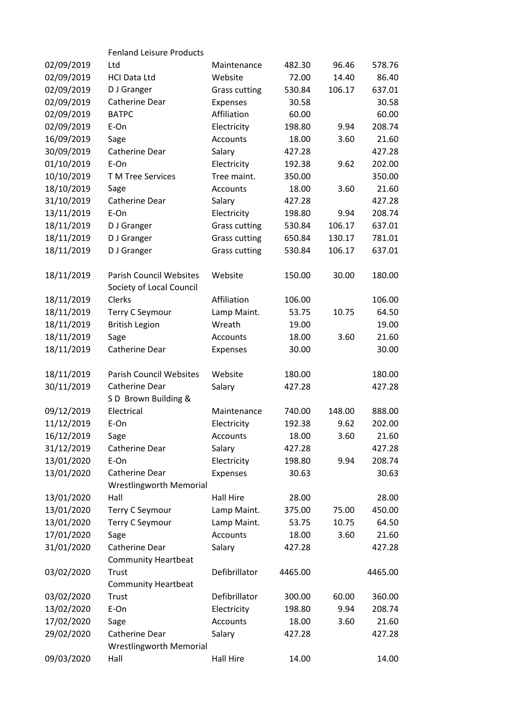|            | <b>Fenland Leisure Products</b> |                      |         |        |         |
|------------|---------------------------------|----------------------|---------|--------|---------|
| 02/09/2019 | Ltd                             | Maintenance          | 482.30  | 96.46  | 578.76  |
| 02/09/2019 | <b>HCI Data Ltd</b>             | Website              | 72.00   | 14.40  | 86.40   |
| 02/09/2019 | D J Granger                     | <b>Grass cutting</b> | 530.84  | 106.17 | 637.01  |
| 02/09/2019 | Catherine Dear                  | Expenses             | 30.58   |        | 30.58   |
| 02/09/2019 | <b>BATPC</b>                    | Affiliation          | 60.00   |        | 60.00   |
| 02/09/2019 | E-On                            | Electricity          | 198.80  | 9.94   | 208.74  |
| 16/09/2019 | Sage                            | Accounts             | 18.00   | 3.60   | 21.60   |
| 30/09/2019 | Catherine Dear                  | Salary               | 427.28  |        | 427.28  |
| 01/10/2019 | E-On                            | Electricity          | 192.38  | 9.62   | 202.00  |
| 10/10/2019 | T M Tree Services               | Tree maint.          | 350.00  |        | 350.00  |
| 18/10/2019 | Sage                            | Accounts             | 18.00   | 3.60   | 21.60   |
| 31/10/2019 | Catherine Dear                  | Salary               | 427.28  |        | 427.28  |
| 13/11/2019 | E-On                            | Electricity          | 198.80  | 9.94   | 208.74  |
| 18/11/2019 | D J Granger                     | <b>Grass cutting</b> | 530.84  | 106.17 | 637.01  |
| 18/11/2019 | D J Granger                     | <b>Grass cutting</b> | 650.84  | 130.17 | 781.01  |
| 18/11/2019 | D J Granger                     | <b>Grass cutting</b> | 530.84  | 106.17 | 637.01  |
| 18/11/2019 | <b>Parish Council Websites</b>  | Website              | 150.00  | 30.00  | 180.00  |
|            | Society of Local Council        |                      |         |        |         |
| 18/11/2019 | Clerks                          | Affiliation          | 106.00  |        | 106.00  |
| 18/11/2019 | Terry C Seymour                 | Lamp Maint.          | 53.75   | 10.75  | 64.50   |
| 18/11/2019 | <b>British Legion</b>           | Wreath               | 19.00   |        | 19.00   |
| 18/11/2019 | Sage                            | Accounts             | 18.00   | 3.60   | 21.60   |
| 18/11/2019 | Catherine Dear                  | Expenses             | 30.00   |        | 30.00   |
| 18/11/2019 | <b>Parish Council Websites</b>  | Website              | 180.00  |        | 180.00  |
| 30/11/2019 | Catherine Dear                  | Salary               | 427.28  |        | 427.28  |
|            | SD Brown Building &             |                      |         |        |         |
| 09/12/2019 | Electrical                      | Maintenance          | 740.00  | 148.00 | 888.00  |
| 11/12/2019 | E-On                            | Electricity          | 192.38  | 9.62   | 202.00  |
| 16/12/2019 | Sage                            | Accounts             | 18.00   | 3.60   | 21.60   |
| 31/12/2019 | Catherine Dear                  | Salary               | 427.28  |        | 427.28  |
| 13/01/2020 | E-On                            | Electricity          | 198.80  | 9.94   | 208.74  |
| 13/01/2020 | Catherine Dear                  | Expenses             | 30.63   |        | 30.63   |
|            | <b>Wrestlingworth Memorial</b>  |                      |         |        |         |
| 13/01/2020 | Hall                            | <b>Hall Hire</b>     | 28.00   |        | 28.00   |
| 13/01/2020 | Terry C Seymour                 | Lamp Maint.          | 375.00  | 75.00  | 450.00  |
| 13/01/2020 | Terry C Seymour                 | Lamp Maint.          | 53.75   | 10.75  | 64.50   |
| 17/01/2020 | Sage                            | Accounts             | 18.00   | 3.60   | 21.60   |
| 31/01/2020 | Catherine Dear                  | Salary               | 427.28  |        | 427.28  |
|            | <b>Community Heartbeat</b>      |                      |         |        |         |
| 03/02/2020 | Trust                           | Defibrillator        | 4465.00 |        | 4465.00 |
|            | <b>Community Heartbeat</b>      |                      |         |        |         |
| 03/02/2020 | <b>Trust</b>                    | Defibrillator        | 300.00  | 60.00  | 360.00  |
| 13/02/2020 | E-On                            | Electricity          | 198.80  | 9.94   | 208.74  |
| 17/02/2020 | Sage                            | Accounts             | 18.00   | 3.60   | 21.60   |
| 29/02/2020 | Catherine Dear                  | Salary               | 427.28  |        | 427.28  |
|            | <b>Wrestlingworth Memorial</b>  |                      |         |        |         |
| 09/03/2020 | Hall                            | Hall Hire            | 14.00   |        | 14.00   |